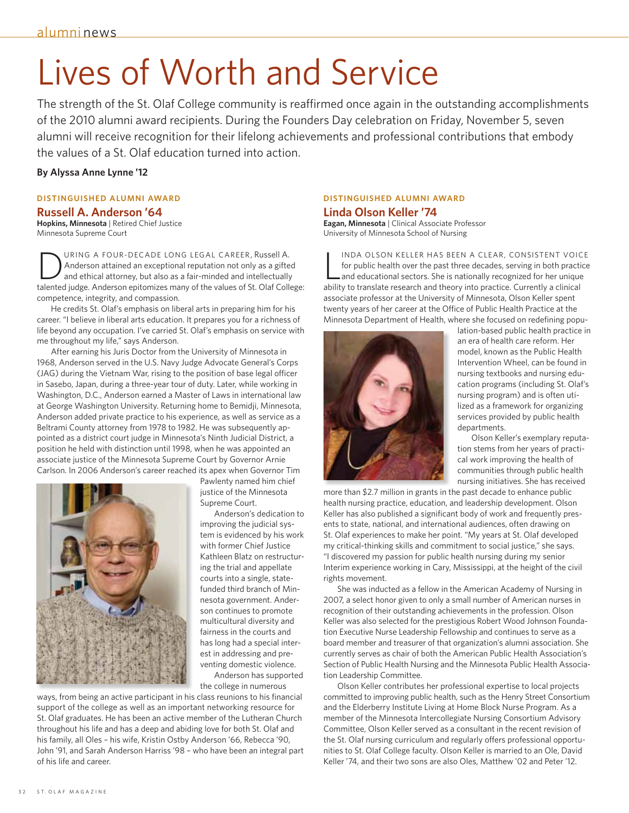# Lives of Worth and Service

The strength of the St. Olaf College community is reaffirmed once again in the outstanding accomplishments of the 2010 alumni award recipients. During the Founders Day celebration on Friday, November 5, seven alumni will receive recognition for their lifelong achievements and professional contributions that embody the values of a St. Olaf education turned into action.

#### **By Alyssa Anne Lynne '12**

### **Distinguished Alumni Award**

#### **Russell A. Anderson '64**

**Hopkins, Minnesota** | Retired Chief Justice Minnesota Supreme Court

URING A FOUR-DECADE LONG LEGAL CAREER, Russell A. Anderson attained an exceptional reputation not only as a gifted and ethical attorney, but also as a fair-minded and intellectually talented judge. Anderson epitomizes many of the values of St. Olaf College: competence, integrity, and compassion.

He credits St. Olaf's emphasis on liberal arts in preparing him for his career. "I believe in liberal arts education. It prepares you for a richness of life beyond any occupation. I've carried St. Olaf's emphasis on service with me throughout my life," says Anderson.

After earning his Juris Doctor from the University of Minnesota in 1968, Anderson served in the U.S. Navy Judge Advocate General's Corps (JAG) during the Vietnam War, rising to the position of base legal officer in Sasebo, Japan, during a three-year tour of duty. Later, while working in Washington, D.C., Anderson earned a Master of Laws in international law at George Washington University. Returning home to Bemidji, Minnesota, Anderson added private practice to his experience, as well as service as a Beltrami County attorney from 1978 to 1982. He was subsequently appointed as a district court judge in Minnesota's Ninth Judicial District, a position he held with distinction until 1998, when he was appointed an associate justice of the Minnesota Supreme Court by Governor Arnie Carlson. In 2006 Anderson's career reached its apex when Governor Tim



Pawlenty named him chief justice of the Minnesota Supreme Court.

Anderson's dedication to improving the judicial system is evidenced by his work with former Chief Justice Kathleen Blatz on restructuring the trial and appellate courts into a single, statefunded third branch of Minnesota government. Anderson continues to promote multicultural diversity and fairness in the courts and has long had a special interest in addressing and preventing domestic violence.

Anderson has supported the college in numerous

ways, from being an active participant in his class reunions to his financial support of the college as well as an important networking resource for St. Olaf graduates. He has been an active member of the Lutheran Church throughout his life and has a deep and abiding love for both St. Olaf and his family, all Oles – his wife, Kristin Ostby Anderson '66, Rebecca '90, John '91, and Sarah Anderson Harriss '98 – who have been an integral part of his life and career.

## **Distinguished Alumni Award Linda Olson Keller '74**

**Eagan, Minnesota** | Clinical Associate Professor University of Minnesota School of Nursing

 $\overline{\mathsf{L}}$ inda Olson Keller has been a clear, consistent voice for public health over the past three decades, serving in both practice and educational sectors. She is nationally recognized for her unique ability to translate research and theory into practice. Currently a clinical associate professor at the University of Minnesota, Olson Keller spent twenty years of her career at the Office of Public Health Practice at the Minnesota Department of Health, where she focused on redefining popu-



lation-based public health practice in an era of health care reform. Her model, known as the Public Health Intervention Wheel, can be found in nursing textbooks and nursing education programs (including St. Olaf's nursing program) and is often utilized as a framework for organizing services provided by public health departments.

Olson Keller's exemplary reputation stems from her years of practical work improving the health of communities through public health nursing initiatives. She has received

more than \$2.7 million in grants in the past decade to enhance public health nursing practice, education, and leadership development. Olson Keller has also published a significant body of work and frequently presents to state, national, and international audiences, often drawing on St. Olaf experiences to make her point. "My years at St. Olaf developed my critical-thinking skills and commitment to social justice," she says. "I discovered my passion for public health nursing during my senior Interim experience working in Cary, Mississippi, at the height of the civil rights movement.

She was inducted as a fellow in the American Academy of Nursing in 2007, a select honor given to only a small number of American nurses in recognition of their outstanding achievements in the profession. Olson Keller was also selected for the prestigious Robert Wood Johnson Foundation Executive Nurse Leadership Fellowship and continues to serve as a board member and treasurer of that organization's alumni association. She currently serves as chair of both the American Public Health Association's Section of Public Health Nursing and the Minnesota Public Health Association Leadership Committee.

Olson Keller contributes her professional expertise to local projects committed to improving public health, such as the Henry Street Consortium and the Elderberry Institute Living at Home Block Nurse Program. As a member of the Minnesota Intercollegiate Nursing Consortium Advisory Committee, Olson Keller served as a consultant in the recent revision of the St. Olaf nursing curriculum and regularly offers professional opportunities to St. Olaf College faculty. Olson Keller is married to an Ole, David Keller '74, and their two sons are also Oles, Matthew '02 and Peter '12.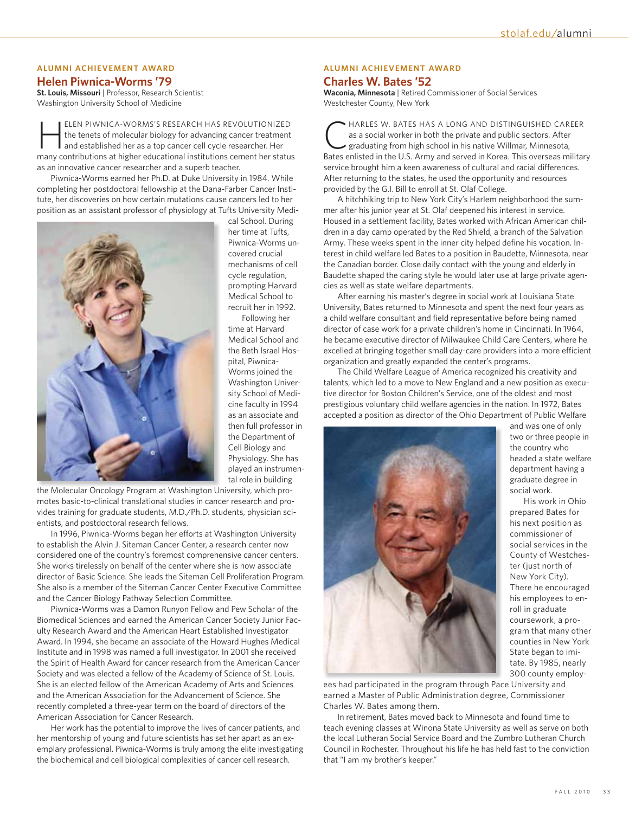## **Alumni Achievement Award**

**Helen Piwnica-Worms '79** 

**St. Louis, Missouri** | Professor, Research Scientist Washington University School of Medicine

ELEN PIWNICA-WORMS'S RESEARCH HAS REVOLUTIONIZED<br>the tenets of molecular biology for advancing cancer treatment<br>and established her as a top cancer cell cycle researcher. Her the tenets of molecular biology for advancing cancer treatment and established her as a top cancer cell cycle researcher. Her many contributions at higher educational institutions cement her status as an innovative cancer researcher and a superb teacher.

Piwnica-Worms earned her Ph.D. at Duke University in 1984. While completing her postdoctoral fellowship at the Dana-Farber Cancer Institute, her discoveries on how certain mutations cause cancers led to her position as an assistant professor of physiology at Tufts University Medi-



cal School. During her time at Tufts, Piwnica-Worms uncovered crucial mechanisms of cell cycle regulation, prompting Harvard Medical School to recruit her in 1992.

Following her time at Harvard Medical School and the Beth Israel Hospital, Piwnica-Worms joined the Washington University School of Medicine faculty in 1994 as an associate and then full professor in the Department of Cell Biology and Physiology. She has played an instrumental role in building

the Molecular Oncology Program at Washington University, which promotes basic-to-clinical translational studies in cancer research and provides training for graduate students, M.D./Ph.D. students, physician scientists, and postdoctoral research fellows.

In 1996, Piwnica-Worms began her efforts at Washington University to establish the Alvin J. Siteman Cancer Center, a research center now considered one of the country's foremost comprehensive cancer centers. She works tirelessly on behalf of the center where she is now associate director of Basic Science. She leads the Siteman Cell Proliferation Program. She also is a member of the Siteman Cancer Center Executive Committee and the Cancer Biology Pathway Selection Committee.

Piwnica-Worms was a Damon Runyon Fellow and Pew Scholar of the Biomedical Sciences and earned the American Cancer Society Junior Faculty Research Award and the American Heart Established Investigator Award. In 1994, she became an associate of the Howard Hughes Medical Institute and in 1998 was named a full investigator. In 2001 she received the Spirit of Health Award for cancer research from the American Cancer Society and was elected a fellow of the Academy of Science of St. Louis. She is an elected fellow of the American Academy of Arts and Sciences and the American Association for the Advancement of Science. She recently completed a three-year term on the board of directors of the American Association for Cancer Research.

Her work has the potential to improve the lives of cancer patients, and her mentorship of young and future scientists has set her apart as an exemplary professional. Piwnica-Worms is truly among the elite investigating the biochemical and cell biological complexities of cancer cell research.

## **Alumni Achievement Award**

#### **Charles W. Bates '52**

**Waconia, Minnesota** | Retired Commissioner of Social Services Westchester County, New York

**HARLES W. BATES HAS A LONG AND DISTINGUISHED CAREER** as a social worker in both the private and public sectors. After graduating from high school in his native Willmar, Minnesota, Bates enlisted in the U.S. Army and served in Korea. This overseas military service brought him a keen awareness of cultural and racial differences. After returning to the states, he used the opportunity and resources provided by the G.I. Bill to enroll at St. Olaf College.

A hitchhiking trip to New York City's Harlem neighborhood the summer after his junior year at St. Olaf deepened his interest in service. Housed in a settlement facility, Bates worked with African American children in a day camp operated by the Red Shield, a branch of the Salvation Army. These weeks spent in the inner city helped define his vocation. Interest in child welfare led Bates to a position in Baudette, Minnesota, near the Canadian border. Close daily contact with the young and elderly in Baudette shaped the caring style he would later use at large private agencies as well as state welfare departments.

After earning his master's degree in social work at Louisiana State University, Bates returned to Minnesota and spent the next four years as a child welfare consultant and field representative before being named director of case work for a private children's home in Cincinnati. In 1964, he became executive director of Milwaukee Child Care Centers, where he excelled at bringing together small day-care providers into a more efficient organization and greatly expanded the center's programs.

The Child Welfare League of America recognized his creativity and talents, which led to a move to New England and a new position as executive director for Boston Children's Service, one of the oldest and most prestigious voluntary child welfare agencies in the nation. In 1972, Bates accepted a position as director of the Ohio Department of Public Welfare



and was one of only two or three people in the country who headed a state welfare department having a graduate degree in social work.

His work in Ohio prepared Bates for his next position as commissioner of social services in the County of Westchester (just north of New York City). There he encouraged his employees to enroll in graduate coursework, a program that many other counties in New York State began to imitate. By 1985, nearly 300 county employ-

ees had participated in the program through Pace University and earned a Master of Public Administration degree, Commissioner Charles W. Bates among them.

In retirement, Bates moved back to Minnesota and found time to teach evening classes at Winona State University as well as serve on both the local Lutheran Social Service Board and the Zumbro Lutheran Church Council in Rochester. Throughout his life he has held fast to the conviction that "I am my brother's keeper."